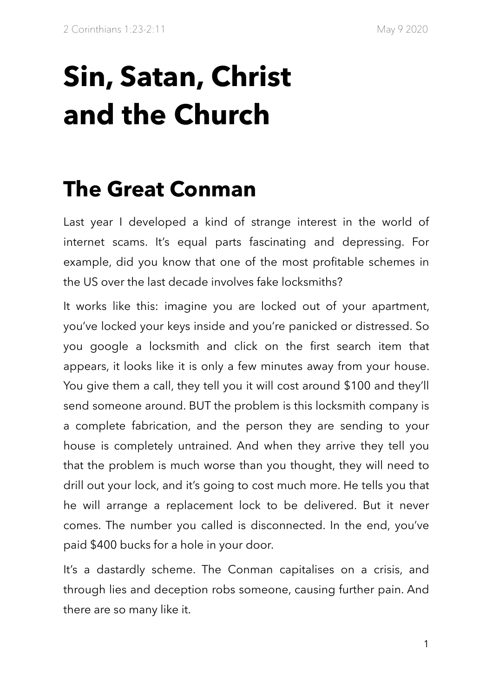# **Sin, Satan, Christ and the Church**

## **The Great Conman**

Last year I developed a kind of strange interest in the world of internet scams. It's equal parts fascinating and depressing. For example, did you know that one of the most profitable schemes in the US over the last decade involves fake locksmiths?

It works like this: imagine you are locked out of your apartment, you've locked your keys inside and you're panicked or distressed. So you google a locksmith and click on the first search item that appears, it looks like it is only a few minutes away from your house. You give them a call, they tell you it will cost around \$100 and they'll send someone around. BUT the problem is this locksmith company is a complete fabrication, and the person they are sending to your house is completely untrained. And when they arrive they tell you that the problem is much worse than you thought, they will need to drill out your lock, and it's going to cost much more. He tells you that he will arrange a replacement lock to be delivered. But it never comes. The number you called is disconnected. In the end, you've paid \$400 bucks for a hole in your door.

It's a dastardly scheme. The Conman capitalises on a crisis, and through lies and deception robs someone, causing further pain. And there are so many like it.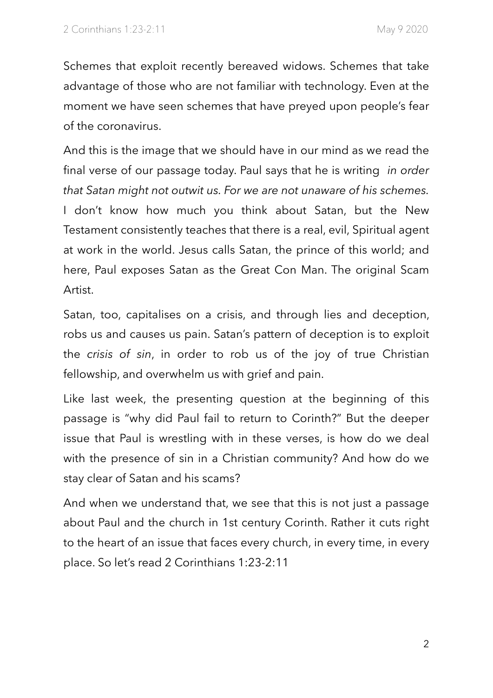Schemes that exploit recently bereaved widows. Schemes that take advantage of those who are not familiar with technology. Even at the moment we have seen schemes that have preyed upon people's fear of the coronavirus.

And this is the image that we should have in our mind as we read the final verse of our passage today. Paul says that he is writing *in order that Satan might not outwit us. For we are not unaware of his schemes.* I don't know how much you think about Satan, but the New Testament consistently teaches that there is a real, evil, Spiritual agent at work in the world. Jesus calls Satan, the prince of this world; and here, Paul exposes Satan as the Great Con Man. The original Scam Artist.

Satan, too, capitalises on a crisis, and through lies and deception, robs us and causes us pain. Satan's pattern of deception is to exploit the *crisis of sin*, in order to rob us of the joy of true Christian fellowship, and overwhelm us with grief and pain.

Like last week, the presenting question at the beginning of this passage is "why did Paul fail to return to Corinth?" But the deeper issue that Paul is wrestling with in these verses, is how do we deal with the presence of sin in a Christian community? And how do we stay clear of Satan and his scams?

And when we understand that, we see that this is not just a passage about Paul and the church in 1st century Corinth. Rather it cuts right to the heart of an issue that faces every church, in every time, in every place. So let's read 2 Corinthians 1:23-2:11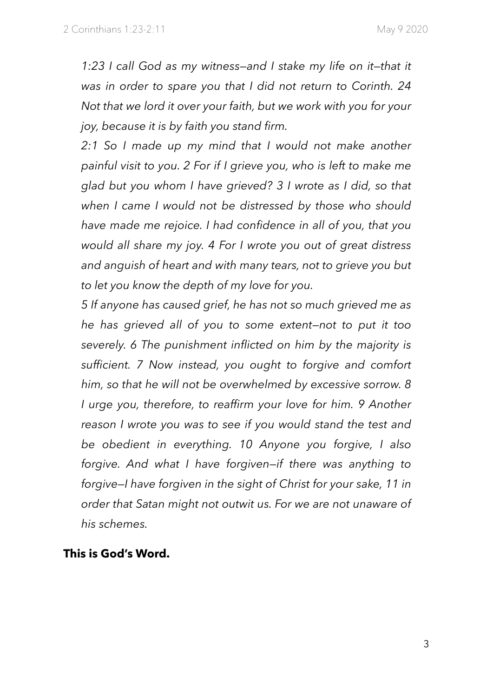*1:23 I call God as my witness—and I stake my life on it—that it was in order to spare you that I did not return to Corinth. 24 Not that we lord it over your faith, but we work with you for your joy, because it is by faith you stand firm.* 

*2:1 So I made up my mind that I would not make another painful visit to you. 2 For if I grieve you, who is left to make me glad but you whom I have grieved? 3 I wrote as I did, so that when I came I would not be distressed by those who should have made me rejoice. I had confidence in all of you, that you would all share my joy. 4 For I wrote you out of great distress and anguish of heart and with many tears, not to grieve you but to let you know the depth of my love for you.* 

*5 If anyone has caused grief, he has not so much grieved me as he has grieved all of you to some extent—not to put it too severely. 6 The punishment inflicted on him by the majority is sufficient. 7 Now instead, you ought to forgive and comfort him, so that he will not be overwhelmed by excessive sorrow. 8 I urge you, therefore, to reaffirm your love for him. 9 Another reason I wrote you was to see if you would stand the test and be obedient in everything. 10 Anyone you forgive, I also forgive. And what I have forgiven—if there was anything to forgive—I have forgiven in the sight of Christ for your sake, 11 in order that Satan might not outwit us. For we are not unaware of his schemes.* 

#### **This is God's Word.**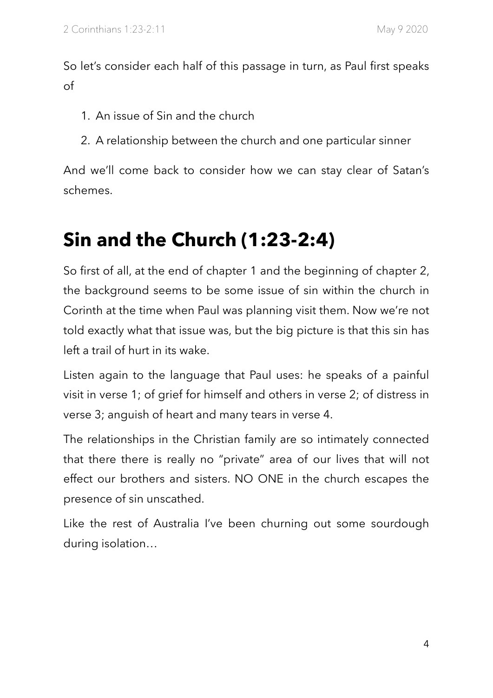So let's consider each half of this passage in turn, as Paul first speaks of

- 1. An issue of Sin and the church
- 2. A relationship between the church and one particular sinner

And we'll come back to consider how we can stay clear of Satan's schemes.

### **Sin and the Church (1:23-2:4)**

So first of all, at the end of chapter 1 and the beginning of chapter 2, the background seems to be some issue of sin within the church in Corinth at the time when Paul was planning visit them. Now we're not told exactly what that issue was, but the big picture is that this sin has left a trail of hurt in its wake.

Listen again to the language that Paul uses: he speaks of a painful visit in verse 1; of grief for himself and others in verse 2; of distress in verse 3; anguish of heart and many tears in verse 4.

The relationships in the Christian family are so intimately connected that there there is really no "private" area of our lives that will not effect our brothers and sisters. NO ONE in the church escapes the presence of sin unscathed.

Like the rest of Australia I've been churning out some sourdough during isolation…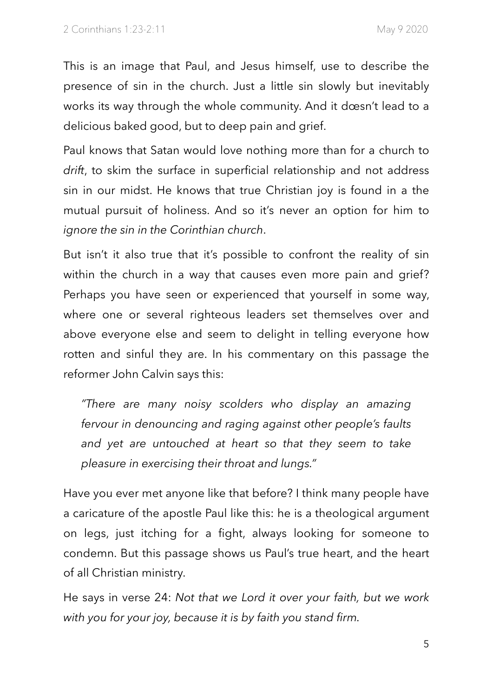This is an image that Paul, and Jesus himself, use to describe the presence of sin in the church. Just a little sin slowly but inevitably works its way through the whole community. And it dœsn't lead to a delicious baked good, but to deep pain and grief.

Paul knows that Satan would love nothing more than for a church to *drift*, to skim the surface in superficial relationship and not address sin in our midst. He knows that true Christian joy is found in a the mutual pursuit of holiness. And so it's never an option for him to *ignore the sin in the Corinthian church*.

But isn't it also true that it's possible to confront the reality of sin within the church in a way that causes even more pain and grief? Perhaps you have seen or experienced that yourself in some way, where one or several righteous leaders set themselves over and above everyone else and seem to delight in telling everyone how rotten and sinful they are. In his commentary on this passage the reformer John Calvin says this:

*"There are many noisy scolders who display an amazing fervour in denouncing and raging against other people's faults and yet are untouched at heart so that they seem to take pleasure in exercising their throat and lungs."* 

Have you ever met anyone like that before? I think many people have a caricature of the apostle Paul like this: he is a theological argument on legs, just itching for a fight, always looking for someone to condemn. But this passage shows us Paul's true heart, and the heart of all Christian ministry.

He says in verse 24: *Not that we Lord it over your faith, but we work with you for your joy, because it is by faith you stand firm.*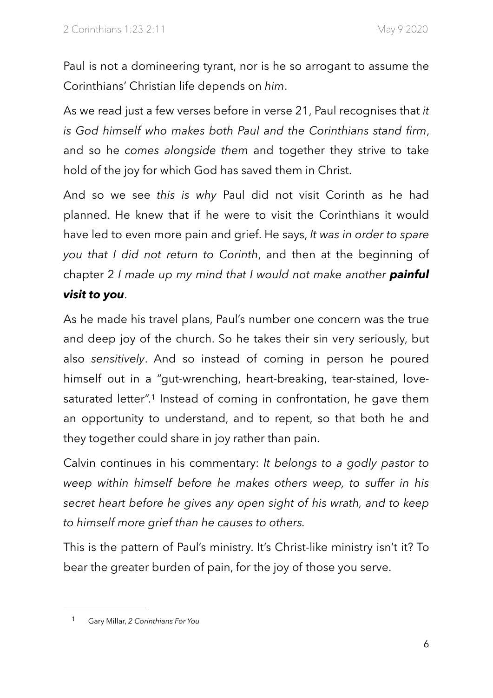Paul is not a domineering tyrant, nor is he so arrogant to assume the Corinthians' Christian life depends on *him*.

As we read just a few verses before in verse 21, Paul recognises that *it is God himself who makes both Paul and the Corinthians stand firm*, and so he *comes alongside them* and together they strive to take hold of the joy for which God has saved them in Christ.

And so we see *this is why* Paul did not visit Corinth as he had planned. He knew that if he were to visit the Corinthians it would have led to even more pain and grief. He says, *It was in order to spare you that I did not return to Corinth*, and then at the beginning of chapter 2 *I made up my mind that I would not make another painful visit to you*.

As he made his travel plans, Paul's number one concern was the true and deep joy of the church. So he takes their sin very seriously, but also *sensitively*. And so instead of coming in person he poured himself out in a "gut-wrenching, heart-breaking, tear-stained, love-saturated letter".<sup>[1](#page-5-0)</sup> Instead of coming in confrontation, he gave them an opportunity to understand, and to repent, so that both he and they together could share in joy rather than pain.

<span id="page-5-1"></span>Calvin continues in his commentary: *It belongs to a godly pastor to weep within himself before he makes others weep, to suffer in his secret heart before he gives any open sight of his wrath, and to keep to himself more grief than he causes to others.*

This is the pattern of Paul's ministry. It's Christ-like ministry isn't it? To bear the greater burden of pain, for the joy of those you serve.

<span id="page-5-0"></span>Gary Millar, *2 Corinthians For You* [1](#page-5-1)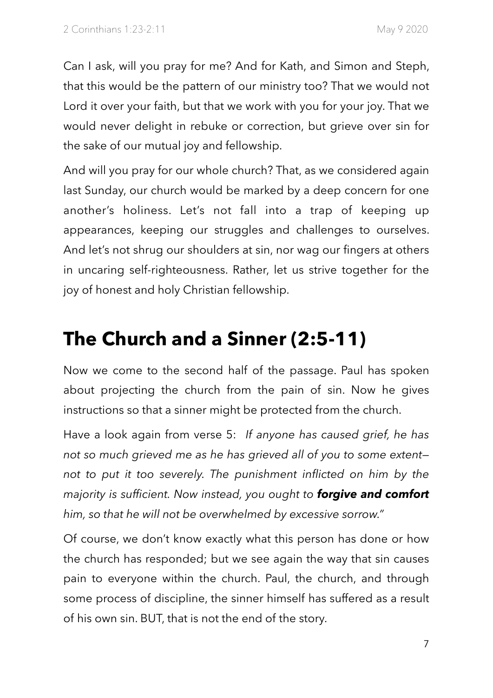Can I ask, will you pray for me? And for Kath, and Simon and Steph, that this would be the pattern of our ministry too? That we would not Lord it over your faith, but that we work with you for your joy. That we would never delight in rebuke or correction, but grieve over sin for the sake of our mutual joy and fellowship.

And will you pray for our whole church? That, as we considered again last Sunday, our church would be marked by a deep concern for one another's holiness. Let's not fall into a trap of keeping up appearances, keeping our struggles and challenges to ourselves. And let's not shrug our shoulders at sin, nor wag our fingers at others in uncaring self-righteousness. Rather, let us strive together for the joy of honest and holy Christian fellowship.

### **The Church and a Sinner (2:5-11)**

Now we come to the second half of the passage. Paul has spoken about projecting the church from the pain of sin. Now he gives instructions so that a sinner might be protected from the church.

Have a look again from verse 5: *If anyone has caused grief, he has not so much grieved me as he has grieved all of you to some extent not to put it too severely. The punishment inflicted on him by the majority is sufficient. Now instead, you ought to forgive and comfort him, so that he will not be overwhelmed by excessive sorrow."*

Of course, we don't know exactly what this person has done or how the church has responded; but we see again the way that sin causes pain to everyone within the church. Paul, the church, and through some process of discipline, the sinner himself has suffered as a result of his own sin. BUT, that is not the end of the story.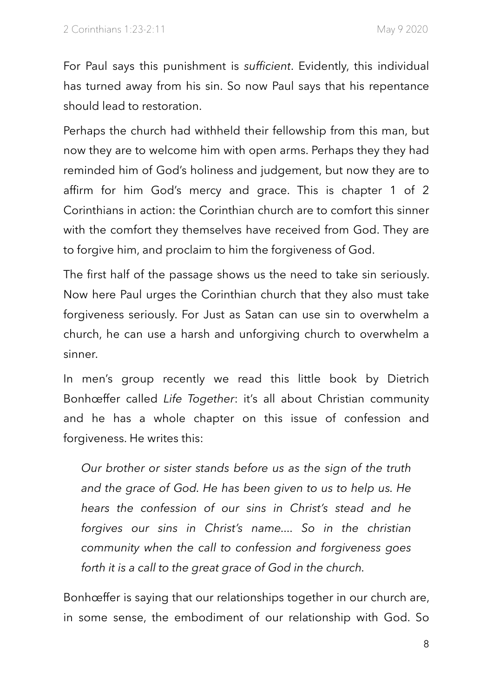For Paul says this punishment is *sufficient*. Evidently, this individual has turned away from his sin. So now Paul says that his repentance should lead to restoration.

Perhaps the church had withheld their fellowship from this man, but now they are to welcome him with open arms. Perhaps they they had reminded him of God's holiness and judgement, but now they are to affirm for him God's mercy and grace. This is chapter 1 of 2 Corinthians in action: the Corinthian church are to comfort this sinner with the comfort they themselves have received from God. They are to forgive him, and proclaim to him the forgiveness of God.

The first half of the passage shows us the need to take sin seriously. Now here Paul urges the Corinthian church that they also must take forgiveness seriously. For Just as Satan can use sin to overwhelm a church, he can use a harsh and unforgiving church to overwhelm a sinner.

In men's group recently we read this little book by Dietrich Bonhœffer called *Life Together*: it's all about Christian community and he has a whole chapter on this issue of confession and forgiveness. He writes this:

*Our brother or sister stands before us as the sign of the truth and the grace of God. He has been given to us to help us. He hears the confession of our sins in Christ's stead and he forgives our sins in Christ's name.... So in the christian community when the call to confession and forgiveness goes forth it is a call to the great grace of God in the church.* 

Bonhœffer is saying that our relationships together in our church are, in some sense, the embodiment of our relationship with God. So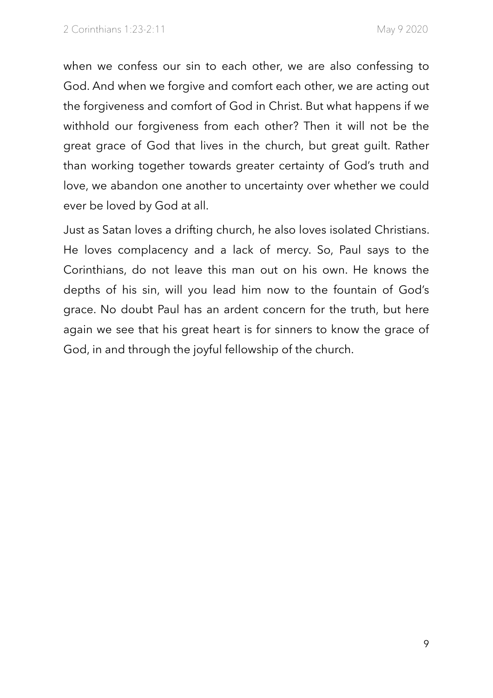when we confess our sin to each other, we are also confessing to God. And when we forgive and comfort each other, we are acting out the forgiveness and comfort of God in Christ. But what happens if we withhold our forgiveness from each other? Then it will not be the great grace of God that lives in the church, but great guilt. Rather than working together towards greater certainty of God's truth and love, we abandon one another to uncertainty over whether we could ever be loved by God at all.

Just as Satan loves a drifting church, he also loves isolated Christians. He loves complacency and a lack of mercy. So, Paul says to the Corinthians, do not leave this man out on his own. He knows the depths of his sin, will you lead him now to the fountain of God's grace. No doubt Paul has an ardent concern for the truth, but here again we see that his great heart is for sinners to know the grace of God, in and through the joyful fellowship of the church.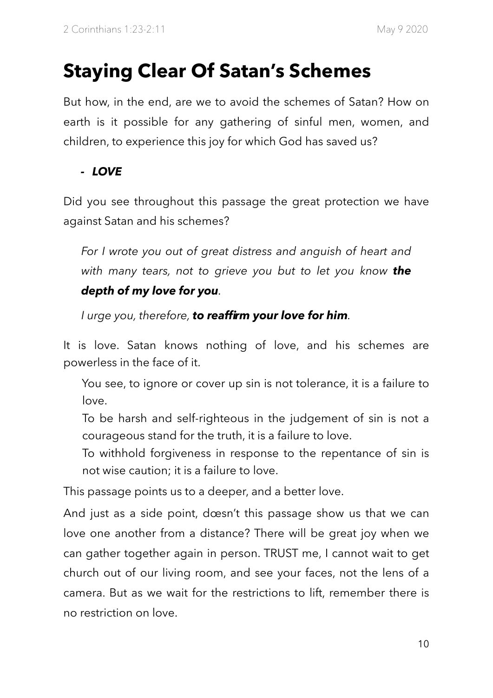### **Staying Clear Of Satan's Schemes**

But how, in the end, are we to avoid the schemes of Satan? How on earth is it possible for any gathering of sinful men, women, and children, to experience this joy for which God has saved us?

#### *- LOVE*

Did you see throughout this passage the great protection we have against Satan and his schemes?

*For I wrote you out of great distress and anguish of heart and with many tears, not to grieve you but to let you know the depth of my love for you.* 

*I urge you, therefore, to reaffirm your love for him.* 

It is love. Satan knows nothing of love, and his schemes are powerless in the face of it.

 You see, to ignore or cover up sin is not tolerance, it is a failure to love.

To be harsh and self-righteous in the judgement of sin is not a courageous stand for the truth, it is a failure to love.

To withhold forgiveness in response to the repentance of sin is not wise caution; it is a failure to love.

This passage points us to a deeper, and a better love.

And just as a side point, dœsn't this passage show us that we can love one another from a distance? There will be great joy when we can gather together again in person. TRUST me, I cannot wait to get church out of our living room, and see your faces, not the lens of a camera. But as we wait for the restrictions to lift, remember there is no restriction on love.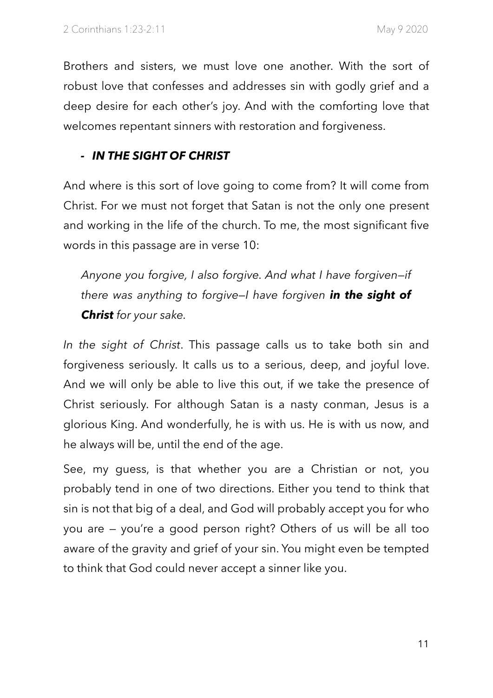Brothers and sisters, we must love one another. With the sort of robust love that confesses and addresses sin with godly grief and a deep desire for each other's joy. And with the comforting love that welcomes repentant sinners with restoration and forgiveness.

#### *- IN THE SIGHT OF CHRIST*

And where is this sort of love going to come from? It will come from Christ. For we must not forget that Satan is not the only one present and working in the life of the church. To me, the most significant five words in this passage are in verse 10:

*Anyone you forgive, I also forgive. And what I have forgiven—if there was anything to forgive—I have forgiven in the sight of Christ for your sake.* 

*In the sight of Christ*. This passage calls us to take both sin and forgiveness seriously. It calls us to a serious, deep, and joyful love. And we will only be able to live this out, if we take the presence of Christ seriously. For although Satan is a nasty conman, Jesus is a glorious King. And wonderfully, he is with us. He is with us now, and he always will be, until the end of the age.

See, my guess, is that whether you are a Christian or not, you probably tend in one of two directions. Either you tend to think that sin is not that big of a deal, and God will probably accept you for who you are — you're a good person right? Others of us will be all too aware of the gravity and grief of your sin. You might even be tempted to think that God could never accept a sinner like you.